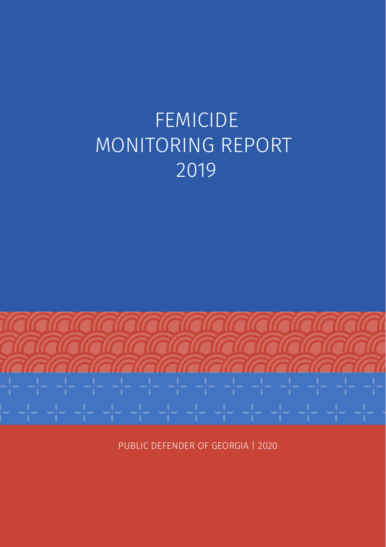# FEMICIDE MONITORING REPORT 2019



PUBLIC DEFENDER OF GEORGIA | 2020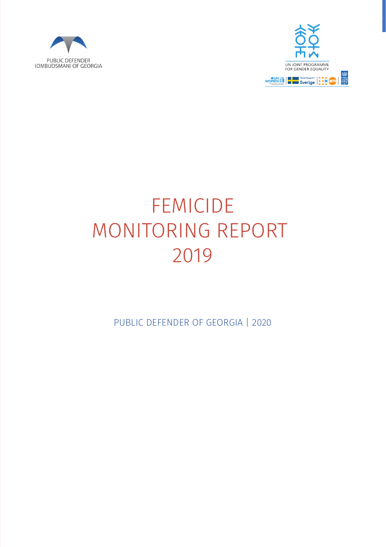



# FEMICIDE MONITORING REPORT 2019

PUBLIC DEFENDER OF GEORGIA | 2020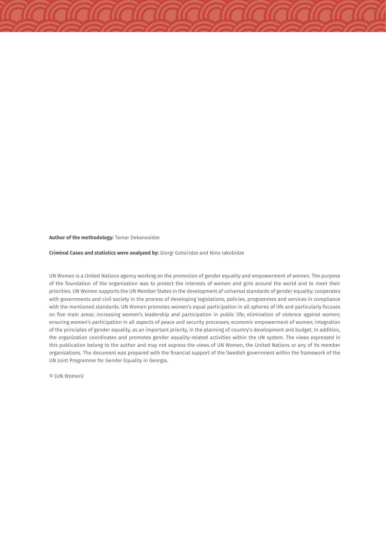**Author of the methodology:** Tamar Dekanosidze

**Criminal Cases and statistics were analyzed by:** Giorgi Gotsiridze and Nino Iakobidze

UN Women is a United Nations agency working on the promotion of gender equality and empowerment of women. The purpose of the foundation of the organization was to protect the interests of women and girls around the world and to meet their priorities. UN Women supports the UN Member States in the development of universal standards of gender equality; cooperates with governments and civil society in the process of developing legislations, policies, programmes and services in compliance with the mentioned standards. UN Women promotes women's equal participation in all spheres of life and particularly focuses on five main areas: increasing women's leadership and participation in public life; elimination of violence against women; ensuring women's participation in all aspects of peace and security processes; economic empowerment of women; integration of the principles of gender equality, as an important priority, in the planning of country's development and budget. In addition, the organization coordinates and promotes gender equality-related activities within the UN system. The views expressed in this publication belong to the author and may not express the views of UN Women, the United Nations or any of its member organizations. The document was prepared with the financial support of the Swedish government within the framework of the UN Joint Programme for Gender Equality in Georgia.

© (UN Women)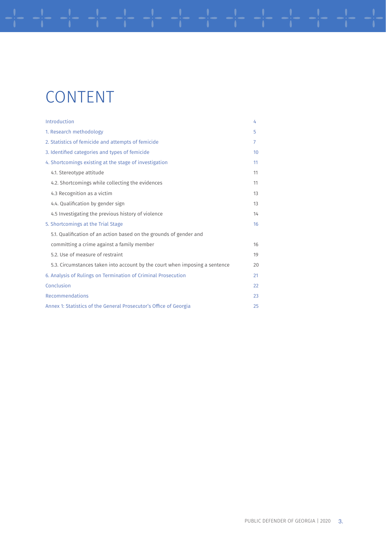## CONTENT

| Introduction                                                                | 4  |
|-----------------------------------------------------------------------------|----|
| 1. Research methodology                                                     | 5  |
| 2. Statistics of femicide and attempts of femicide                          | 7  |
| 3. Identified categories and types of femicide                              | 10 |
| 4. Shortcomings existing at the stage of investigation                      | 11 |
| 4.1. Stereotype attitude                                                    | 11 |
| 4.2. Shortcomings while collecting the evidences                            | 11 |
| 4.3 Recognition as a victim                                                 | 13 |
| 4.4. Qualification by gender sign                                           | 13 |
| 4.5 Investigating the previous history of violence                          | 14 |
| 5. Shortcomings at the Trial Stage                                          | 16 |
| 5.1. Qualification of an action based on the grounds of gender and          |    |
| committing a crime against a family member                                  | 16 |
| 5.2. Use of measure of restraint                                            | 19 |
| 5.3. Circumstances taken into account by the court when imposing a sentence | 20 |
| 6. Analysis of Rulings on Termination of Criminal Prosecution               | 21 |
| Conclusion                                                                  | 22 |
| Recommendations                                                             | 23 |
| Annex 1: Statistics of the General Prosecutor's Office of Georgia           | 25 |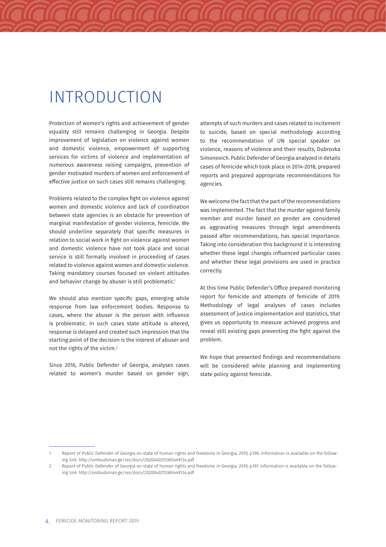### INTRODUCTION

Protection of women's rights and achievement of gender equality still remains challenging in Georgia. Despite improvement of legislation on violence against women and domestic violence, empowerment of supporting services for victims of violence and implementation of numerous awareness raising campaigns, prevention of gender motivated murders of women and enforcement of effective justice on such cases still remains challenging.

Problems related to the complex fight on violence against women and domestic violence and lack of coordination between state agencies is an obstacle for prevention of marginal manifestation of gender violence, femicide. We should underline separately that specific measures in relation to social work in fight on violence against women and domestic violence have not took place and social service is still formally involved in proceeding of cases related to violence against women and domestic violence. Taking mandatory courses focused on violent attitudes and behavior change by abuser is still problematic.<sup>1</sup>

We should also mention specific gaps, emerging while response from law enforcement bodies. Response to cases, where the abuser is the person with influence is problematic. In such cases state attitude is altered, response is delayed and created such impression that the starting point of the decision is the interest of abuser and not the rights of the victim.2

Since 2016, Public Defender of Georgia, analyses cases related to women's murder based on gender sign, attempts of such murders and cases related to incitement to suicide, based on special methodology according to the recommendation of UN special speaker on violence, reasons of violence and their results, Dubrovka Simonovich. Public Defender of Georgia analyzed in details cases of femicide which took place in 2014-2018, prepared reports and prepared appropriate recommendations for agencies.

We welcome the fact that the part of the recommendations was implemented. The fact that the murder against family member and murder based on gender are considered as aggravating measures through legal amendments passed after recommendations, has special importance. Taking into consideration this background it is interesting whether these legal changes influenced particular cases and whether these legal provisions are used in practice correctly.

At this time Public Defender's Office prepared monitoring report for femicide and attempts of femicide of 2019. Methodology of legal analyses of cases includes assessment of justice implementation and statistics, that gives us opportunity to measure achieved progress and reveal still existing gaps preventing the fight against the problem.

We hope that presented findings and recommendations will be considered while planning and implementing state policy against femicide.

Report of Public Defender of Georgia on state of human rights and freedoms in Georgia, 2019, p.196. Information is available on the following link: http://ombudsman.ge/res/docs/2020040215365449134.pdf

<sup>2</sup> Report of Public Defender of Georgia on state of human rights and freedoms in Georgia, 2019, p.197. Information is available on the following link: http://ombudsman.ge/res/docs/2020040215365449134.pdf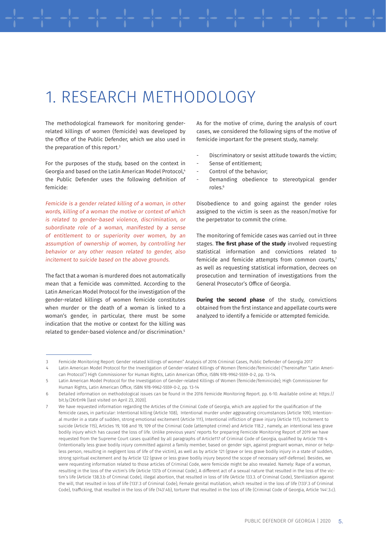### 1. RESEARCH METHODOLOGY

The methodological framework for monitoring genderrelated killings of women (femicide) was developed by the Office of the Public Defender, which we also used in the preparation of this report. $3$ 

For the purposes of the study, based on the context in Georgia and based on the Latin American Model Protocol,4 the Public Defender uses the following definition of femicide:

Femicide is a gender related killing of a woman, in other words, killing of a woman the motive or context of which is related to gender-based violence, discrimination, or subordinate role of a woman, manifested by a sense of entitlement to or superiority over women, by an assumption of ownership of women, by controlling her behavior or any other reason related to gender, also incitement to suicide based on the above grounds.

The fact that a woman is murdered does not automatically mean that a femicide was committed. According to the Latin American Model Protocol for the investigation of the gender-related killings of women femicide constitutes when murder or the death of a woman is linked to a woman's gender, in particular, there must be some indication that the motive or context for the killing was related to gender-based violence and/or discrimination.5

As for the motive of crime, during the analysis of court cases, we considered the following signs of the motive of femicide important for the present study, namely:

- Discriminatory or sexist attitude towards the victim;
- Sense of entitlement:
- Control of the behavior;
- Demanding obedience to stereotypical gender roles.6

Disobedience to and going against the gender roles assigned to the victim is seen as the reason/motive for the perpetrator to commit the crime.

The monitoring of femicide cases was carried out in three stages. **The first phase of the study** involved requesting statistical information and convictions related to femicide and femicide attempts from common courts,7 as well as requesting statistical information, decrees on prosecution and termination of investigations from the General Prosecutor's Office of Georgia.

**During the second phase** of the study, convictions obtained from the first instance and appellate courts were analyzed to identify a femicide or attempted femicide.

<sup>3</sup> Femicide Monitoring Report: Gender related killings of women" Analysis of 2016 Criminal Cases, Public Defender of Georgia 2017

<sup>4</sup> Latin American Model Protocol for the Investigation of Gender-related Killings of Women (femicide/feminicide) ("hereinafter "Latin American Protocol") High Commissioner for Human Rights, Latin American Office, ISBN 978-9962-5559-0-2, pp. 13-14.

<sup>5</sup> Latin American Model Protocol for the Investigation of Gender-related Killings of Women (femicide/feminicide); High Commissioner for Human Rights, Latin American Office, ISBN 978-9962-5559-0-2, pp. 13-14

<sup>6</sup> Detailed information on methodological issues can be found in the 2016 Femicide Monitoring Report. pp. 6-10. Available online at: https:// bit.ly/2KrEn9k [last visited on April 23, 2020].

<sup>7</sup> We have requested information regarding the Articles of the Criminal Code of Georgia, which are applied for the qualification of the femicide cases, in particular: Intentional killing (Article 108), Intentional murder under aggravating circumstances (Article 109), Intentional murder in a state of sudden, strong emotional excitement (Article 111), Intentional infliction of grave injury (Article 117), Incitement to suicide (Article 115), Articles 19, 108 and 19, 109 of the Criminal Code (attempted crime) and Article 118.2 , namely, an intentional less grave bodily injury which has caused the loss of life. Unlike previous years' reports for preparing Femicide Monitoring Report of 2019 we have requested from the Supreme Court cases qualified by all paragraphs of Article117 of Criminal Code of Georgia, qualified by Article 118-4 (Intentionally less grave bodily injury committed against a family member, based on gender sign, against pregnant woman, minor or helpless person, resulting in negligent loss of life of the victim), as well as by article 121 (grave or less grave bodily injury in a state of sudden, strong spiritual excitement and by Article 122 (grave or less grave bodily injury beyond the scope of necessary self-defense). Besides, we were requesting information related to those articles of Criminal Code, were femicide might be also revealed. Namely: Rape of a woman, resulting in the loss of the victim's life (Article 137.b of Criminal Code), A different act of a sexual nature that resulted in the loss of the victim's life (Article 138.3.b of Criminal Code), illegal abortion, that resulted in loss of life (Article 133.3. of Criminal Code), Sterilization against the will, that resulted in loss of life (1331 .3 of Criminal Code), Female genital mutilation, which resulted in the loss of life (1332 .3 of Criminal Code), trafficking, that resulted in the loss of life (143'.4b), torturer that resulted in the loss of life (Criminal Code of Georgia, Article 144'.3.c).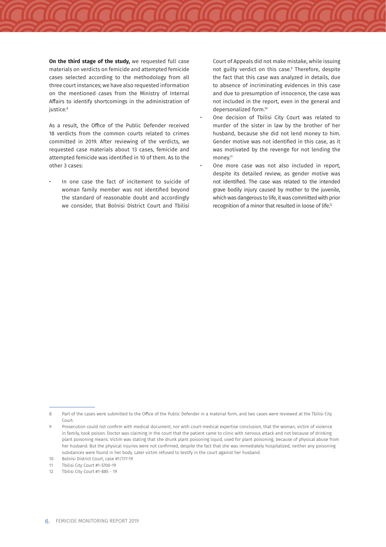**On the third stage of the study,** we requested full case materials on verdicts on femicide and attempted femicide cases selected according to the methodology from all three court instances; we have also requested information on the mentioned cases from the Ministry of Internal Affairs to identify shortcomings in the administration of justice.<sup>8</sup>

As a result, the Office of the Public Defender received 18 verdicts from the common courts related to crimes committed in 2019. After reviewing of the verdicts, we requested case materials about 13 cases, femicide and attempted femicide was identified in 10 of them. As to the other 3 cases:

In one case the fact of incitement to suicide of woman family member was not identified beyond the standard of reasonable doubt and accordingly we consider, that Bolnisi District Court and Tbilisi

Court of Appeals did not make mistake, while issuing not guilty verdict on this case.9 Therefore, despite the fact that this case was analyzed in details, due to absence of incriminating evidences in this case and due to presumption of innocence, the case was not included in the report, even in the general and depersonalized form.10

- One decision of Tbilisi City Court was related to murder of the sister in law by the brother of her husband, because she did not lend money to him. Gender motive was not identified in this case, as it was motivated by the revenge for not lending the money.<sup>11</sup>
- One more case was not also included in report, despite its detailed review, as gender motive was not identified. The case was related to the intended grave bodily injury caused by mother to the juvenile, which was dangerous to life, it was committed with prior recognition of a minor that resulted in loose of life.<sup>12</sup>

<sup>8</sup> Part of the cases were submitted to the Office of the Public Defender in a material form, and two cases were reviewed at the Tbilisi City Court.

<sup>9</sup> Prosecution could not confirm with medical document, nor with court-medical expertise conclusion, that the woman, victim of violence in family, took poison. Doctor was claiming in the court that the patient came to clinic with nervous attack and not because of drinking plant poisoning means. Victim was stating that she drunk plant poisoning liquid, used for plant poisoning, because of physical abuse from her husband. But the physical injuries were not confirmed, despite the fact that she was immediately hospitalized, neither any poisoning substances were found in her body. Later victim refused to testify in the court against her husband.

<sup>10</sup> Bolnisi District Court, case #1/177-19

<sup>11</sup> Tbilisi City Court #1-5700-19

<sup>12</sup> Tbilisi City Court #1-885 - 19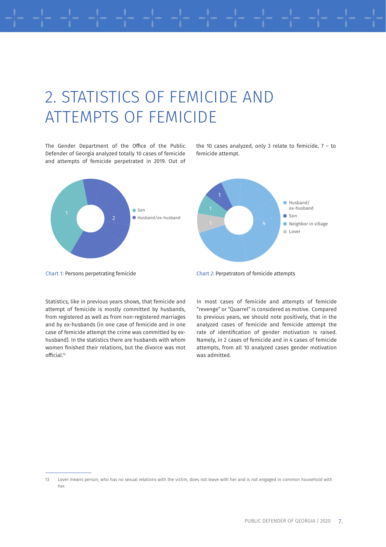## 2. STATISTICS OF FEMICIDE AND ATTEMPTS OF FEMICIDE

The Gender Department of the Office of the Public Defender of Georgia analyzed totally 10 cases of femicide and attempts of femicide perpetrated in 2019. Out of



the 10 cases analyzed, only 3 relate to femicide,  $7 -$  to femicide attempt.



Statistics, like in previous years shows, that femicide and attempt of femicide is mostly committed by husbands, from registered as well as from non-registered marriages and by ex-husbands (in one case of femicide and in one case of femicide attempt the crime was committed by exhusband). In the statistics there are husbands with whom women finished their relations, but the divorce was mot official.<sup>13</sup>



In most cases of femicide and attempts of femicide "revenge" or "Quarrel" is considered as motive. Compared to previous years, we should note positively, that in the analyzed cases of femicide and femicide attempt the rate of identification of gender motivation is raised. Namely, in 2 cases of femicide and in 4 cases of femicide attempts, from all 10 analyzed cases gender motivation was admitted.

<sup>13</sup> Lover means person, who has no sexual relations with the victim, does not leave with her and is not engaged in common household with her.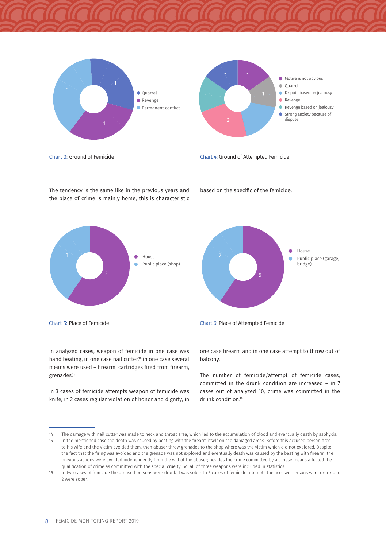

The tendency is the same like in the previous years and the place of crime is mainly home, this is characteristic







In 3 cases of femicide attempts weapon of femicide was knife, in 2 cases regular violation of honor and dignity, in



based on the specific of the femicide.



Chart 5: Place of Femicide Chart 6: Place of Attempted Femicide

one case firearm and in one case attempt to throw out of balcony.

The number of femicide/attempt of femicide cases, committed in the drunk condition are increased – in 7 cases out of analyzed 10, crime was committed in the drunk condition.<sup>16</sup>

<sup>14</sup> The damage with nail cutter was made to neck and throat area, which led to the accumulation of blood and eventually death by asphyxia.

<sup>15</sup> In the mentioned case the death was caused by beating with the firearm itself on the damaged areas. Before this accused person fired to his wife and the victim avoided them, then abuser throw grenades to the shop where was the victim which did not explored. Despite the fact that the firing was avoided and the grenade was not explored and eventually death was caused by the beating with firearm, the previous actions were avoided independently from the will of the abuser; besides the crime committed by all these means affected the qualification of crime as committed with the special cruelty. So, all of three weapons were included in statistics.

<sup>16</sup> In two cases of femicide the accused persons were drunk, 1 was sober. In 5 cases of femicide attempts the accused persons were drunk and 2 were sober.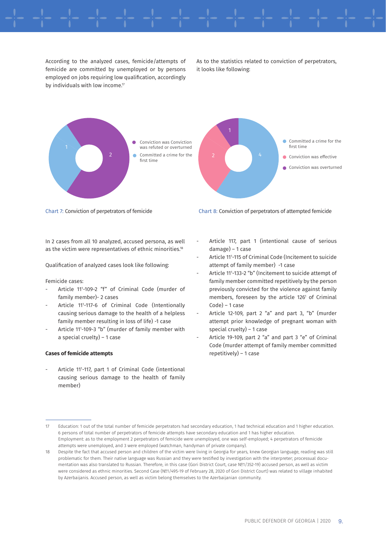According to the analyzed cases, femicide/attempts of femicide are committed by unemployed or by persons employed on jobs requiring low qualification, accordingly by individuals with low income.<sup>17</sup>

As to the statistics related to conviction of perpetrators, it looks like following:



Chart 7: Conviction of perpetrators of femicide Chart 8: Conviction of perpetrators of attempted femicide

In 2 cases from all 10 analyzed, accused persona, as well as the victim were representatives of ethnic minorities.18

Qualification of analyzed cases look like following:

Femicide cases:

- Article 111 -109-2 "f" of Criminal Code (murder of family member)- 2 cases
- Article 111 -117-6 of Criminal Code (Intentionally causing serious damage to the health of a helpless family member resulting in loss of life) -1 case
- Article 111 -109-3 "b" (murder of family member with a special cruelty) – 1 case

#### **Cases of femicide attempts**

- Article 111 -117, part 1 of Criminal Code (intentional causing serious damage to the health of family member)

- Article 117, part 1 (intentional cause of serious damage) – 1 case
- Article 111 -115 of Criminal Code (Incitement to suicide attempt of family member) -1 case
- Article 111 -133-2 "b" (Incitement to suicide attempt of family member committed repetitively by the person previously convicted for the violence against family members, foreseen by the article 126<sup>1</sup> of Criminal Code) – 1 case
- Article 12-109, part 2 "a" and part 3, "b" (murder attempt prior knowledge of pregnant woman with special cruelty) – 1 case
- Article 19-109, part 2 "a" and part 3 "e" of Criminal Code (murder attempt of family member committed repetitively) – 1 case

<sup>17</sup> Education: 1 out of the total number of femicide perpetrators had secondary education, 1 had technical education and 1 higher education. 6 persons of total number of perpetrators of femicide attempts have secondary education and 1 has higher education. Employment: as to the employment 2 perpetrators of femicide were unemployed, one was self-employed; 4 perpetrators of femicide attempts were unemployed, and 3 were employed (watchman, handyman of private company).

<sup>18</sup> Despite the fact that accused person and children of the victim were living in Georgia for years, knew Georgian language, reading was still problematic for them. Their native language was Russian and they were testified by investigation with the interpreter; processual documentation was also translated to Russian. Therefore, in this case (Gori District Court, case №1/352-19) accused person, as well as victim were considered as ethnic minorities. Second Case (№1/495-19 of February 28, 2020 of Gori District Court) was related to village inhabited by Azerbaijanis. Accused person, as well as victim belong themselves to the Azerbaijanian community.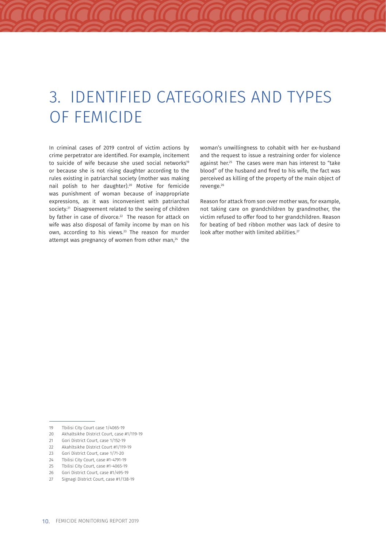## 3. IDENTIFIED CATEGORIES AND TYPES OF FEMICIDE

In criminal cases of 2019 control of victim actions by crime perpetrator are identified. For example, incitement to suicide of wife because she used social networks<sup>19</sup> or because she is not rising daughter according to the rules existing in patriarchal society (mother was making nail polish to her daughter).20 Motive for femicide was punishment of woman because of inappropriate expressions, as it was inconvenient with patriarchal society.<sup>21</sup> Disagreement related to the seeing of children by father in case of divorce.<sup>22</sup> The reason for attack on wife was also disposal of family income by man on his own, according to his views.<sup>23</sup> The reason for murder attempt was pregnancy of women from other man, $24$  the woman's unwillingness to cohabit with her ex-husband and the request to issue a restraining order for violence against her.<sup>25</sup> The cases were man has interest to "take blood" of the husband and fired to his wife, the fact was perceived as killing of the property of the main object of revenge.26

Reason for attack from son over mother was, for example, not taking care on grandchildren by grandmother, the victim refused to offer food to her grandchildren. Reason for beating of bed ribbon mother was lack of desire to look after mother with limited abilities.<sup>27</sup>

21 Gori District Court, case 1/152-19

<sup>19</sup> Tbilisi City Court case 1/4065-19

<sup>20</sup> Akhaltsikhe District Court, case #1/119-19

<sup>22</sup> Akahltsikhe District Court #1/119-19

<sup>23</sup> Gori District Court, case 1/71-20

<sup>24</sup> Tbilisi City Court, case #1-4791-19

<sup>25</sup> Tbilisi City Court, case #1-4065-19

<sup>26</sup> Gori District Court, case #1/495-19<br>27 Signagi District Court, case #1/138

Signagi District Court, case #1/138-19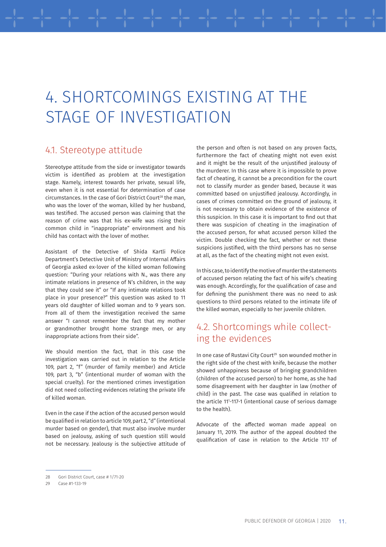## 4. SHORTCOMINGS EXISTING AT THE STAGE OF INVESTIGATION

### 4.1. Stereotype attitude

Stereotype attitude from the side or investigator towards victim is identified as problem at the investigation stage. Namely, interest towards her private, sexual life, even when it is not essential for determination of case circumstances. In the case of Gori District Court<sup>28</sup> the man, who was the lover of the woman, killed by her husband, was testified. The accused person was claiming that the reason of crime was that his ex-wife was rising their common child in "inappropriate" environment and his child has contact with the lover of mother.

Assistant of the Detective of Shida Kartli Police Department's Detective Unit of Ministry of Internal Affairs of Georgia asked ex-lover of the killed woman following question: "During your relations with N., was there any intimate relations in presence of N's children, in the way that they could see it" or "If any intimate relations took place in your presence?" this question was asked to 11 years old daughter of killed woman and to 9 years son. From all of them the investigation received the same answer "I cannot remember the fact that my mother or grandmother brought home strange men, or any inappropriate actions from their side".

We should mention the fact, that in this case the investigation was carried out in relation to the Article 109, part 2, "f" (murder of family member) and Article 109, part 3, "b" (intentional murder of woman with the special cruelty). For the mentioned crimes investigation did not need collecting evidences relating the private life of killed woman.

Even in the case if the action of the accused person would be qualified in relation to article 109, part 2, "d" (intentional murder based on gender), that must also involve murder based on jealousy, asking of such question still would not be necessary. Jealousy is the subjective attitude of the person and often is not based on any proven facts, furthermore the fact of cheating might not even exist and it might be the result of the unjustified jealousy of the murderer. In this case where it is impossible to prove fact of cheating, it cannot be a precondition for the court not to classify murder as gender based, because it was committed based on unjustified jealousy. Accordingly, in cases of crimes committed on the ground of jealousy, it is not necessary to obtain evidence of the existence of this suspicion. In this case it is important to find out that there was suspicion of cheating in the imagination of the accused person, for what accused person killed the victim. Double checking the fact, whether or not these suspicions justified, with the third persons has no sense at all, as the fact of the cheating might not even exist.

In this case, to identify the motive of murder the statements of accused person relating the fact of his wife's cheating was enough. Accordingly, for the qualification of case and for defining the punishment there was no need to ask questions to third persons related to the intimate life of the killed woman, especially to her juvenile children.

### 4.2. Shortcomings while collecting the evidences

In one case of Rustavi City Court<sup>29</sup> son wounded mother in the right side of the chest with knife, because the mother showed unhappiness because of bringing grandchildren (children of the accused person) to her home, as she had some disagreement with her daughter in law (mother of child) in the past. The case was qualified in relation to the article 111 -117-1 (intentional cause of serious damage to the health).

Advocate of the affected woman made appeal on January 11, 2019. The author of the appeal doubted the qualification of case in relation to the Article 117 of

<sup>28</sup> Gori District Court, case # 1/71-20

<sup>29</sup> Case #1-133-19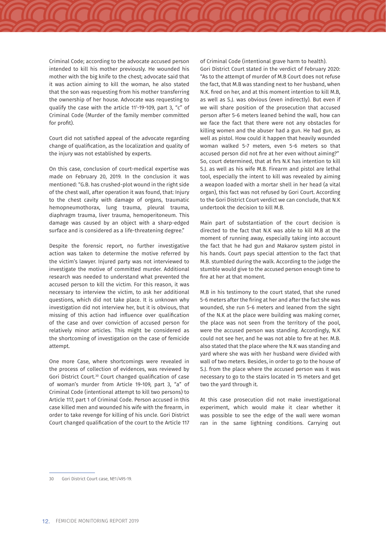Criminal Code; according to the advocate accused person intended to kill his mother previously. He wounded his mother with the big knife to the chest; advocate said that it was action aiming to kill the woman, he also stated that the son was requesting from his mother transferring the ownership of her house. Advocate was requesting to qualify the case with the article 111 -19-109, part 3, "c" of Criminal Code (Murder of the family member committed for profit).

Court did not satisfied appeal of the advocate regarding change of qualification, as the localization and quality of the injury was not established by experts.

On this case, conclusion of court-medical expertise was made on February 20, 2019. In the conclusion it was mentioned: "G.B. has crushed-plot wound in the right side of the chest wall, after operation it was found, that: Injury to the chest cavity with damage of organs, traumatic hemopneumothorax, lung trauma, pleural trauma, diaphragm trauma, liver trauma, hemoperitoneum. This damage was caused by an object with a sharp-edged surface and is considered as a life-threatening degree."

Despite the forensic report, no further investigative action was taken to determine the motive referred by the victim's lawyer. Injured party was not interviewed to investigate the motive of committed murder. Additional research was needed to understand what prevented the accused person to kill the victim. For this reason, it was necessary to interview the victim, to ask her additional questions, which did not take place. It is unknown why investigation did not interview her, but it is obvious, that missing of this action had influence over qualification of the case and over conviction of accused person for relatively minor articles. This might be considered as the shortcoming of investigation on the case of femicide attempt.

One more Case, where shortcomings were revealed in the process of collection of evidences, was reviewed by Gori District Court.30 Court changed qualification of case of woman's murder from Article 19-109, part 3, "a" of Criminal Code (intentional attempt to kill two persons) to Article 117, part 1 of Criminal Code. Person accused in this case killed men and wounded his wife with the firearm, in order to take revenge for killing of his uncle. Gori District Court changed qualification of the court to the Article 117 of Criminal Code (intentional grave harm to health). Gori District Court stated in the verdict of February 2020: "As to the attempt of murder of M.B Court does not refuse the fact, that M.B was standing next to her husband, when N.K. fired on her, and at this moment intention to kill M.B, as well as S.J. was obvious (even indirectly). But even if we will share position of the prosecution that accused person after 5-6 meters leaned behind the wall, how can we face the fact that there were not any obstacles for killing women and the abuser had a gun. He had gun, as well as pistol. How could it happen that heavily wounded woman walked 5-7 meters, even 5-6 meters so that accused person did not fire at her even without aiming?" So, court determined, that at firs N.K has intention to kill S.J. as well as his wife M.B. Firearm and pistol are lethal tool, especially the intent to kill was revealed by aiming a weapon loaded with a mortar shell in her head (a vital organ), this fact was not refused by Gori Court. According to the Gori District Court verdict we can conclude, that N.K undertook the decision to kill M.B.

Main part of substantiation of the court decision is directed to the fact that N.K was able to kill M.B at the moment of running away, especially taking into account the fact that he had gun and Makarov system pistol in his hands. Court pays special attention to the fact that M.B. stumbled during the walk. According to the judge the stumble would give to the accused person enough time to fire at her at that moment.

M.B in his testimony to the court stated, that she runed 5-6 meters after the firing at her and after the fact she was wounded, she run 5-6 meters and leaned from the sight of the N.K at the place were building was making corner, the place was not seen from the territory of the pool, were the accused person was standing. Accordingly, N.K could not see her, and he was not able to fire at her. M.B. also stated that the place where the N.K was standing and yard where she was with her husband were divided with wall of two meters. Besides, in order to go to the house of S.J. from the place where the accused person was it was necessary to go to the stairs located in 15 meters and get two the yard through it.

At this case prosecution did not make investigational experiment, which would make it clear whether it was possible to see the edge of the wall were woman ran in the same lightning conditions. Carrying out

<sup>30</sup> Gori District Court case, №1/495-19.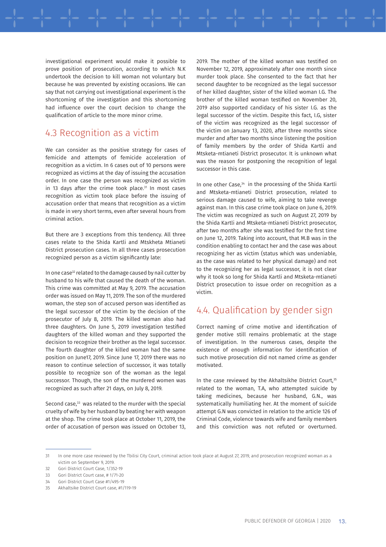investigational experiment would make it possible to prove position of prosecution, according to which N.K undertook the decision to kill woman not voluntary but because he was prevented by existing occasions. We can say that not carrying out investigational experiment is the shortcoming of the investigation and this shortcoming had influence over the court decision to change the qualification of article to the more minor crime.

### 4.3 Recognition as a victim

We can consider as the positive strategy for cases of femicide and attempts of femicide acceleration of recognition as a victim. In 6 cases out of 10 persons were recognized as victims at the day of issuing the accusation order. In one case the person was recognized as victim in 13 days after the crime took place. $31$  In most cases recognition as victim took place before the issuing of accusation order that means that recognition as a victim is made in very short terms, even after several hours from criminal action.

But there are 3 exceptions from this tendency. All three cases relate to the Shida Kartli and Mtskheta Mtianeti District prosecution cases. In all three cases prosecution recognized person as a victim significantly late:

In one case<sup>32</sup> related to the damage caused by nail cutter by husband to his wife that caused the death of the woman. This crime was committed at May 9, 2019. The accusation order was issued on May 11, 2019. The son of the murdered woman, the step son of accused person was identified as the legal successor of the victim by the decision of the prosecutor of July 8, 2019. The killed woman also had three daughters. On June 5, 2019 investigation testified daughters of the killed woman and they supported the decision to recognize their brother as the legal successor. The fourth daughter of the killed woman had the same position on June17, 2019. Since June 17, 2019 there was no reason to continue selection of successor, it was totally possible to recognize son of the woman as the legal successor. Though, the son of the murdered women was recognized as such after 21 days, on July 8, 2019.

Second case,<sup>33</sup> was related to the murder with the special cruelty of wife by her husband by beating her with weapon at the shop. The crime took place at October 11, 2019, the order of accusation of person was issued on October 13, 2019. The mother of the killed woman was testified on November 12, 2019, approximately after one month since murder took place. She consented to the fact that her second daughter to be recognized as the legal successor of her killed daughter, sister of the killed woman I.G. The brother of the killed woman testified on November 20, 2019 also supported candidacy of his sister I.G. as the legal successor of the victim. Despite this fact, I.G, sister of the victim was recognized as the legal successor of the victim on January 13, 2020, after three months since murder and after two months since listening the position of family members by the order of Shida Kartli and Mtsketa-mtianeti District prosecutor. It is unknown what was the reason for postponing the recognition of legal successor in this case.

In one other Case,<sup>34</sup> in the processing of the Shida Kartli and Mtsketa-mtianeti District prosecution, related to serious damage caused to wife, aiming to take revenge against man. In this case crime took place on June 6, 2019. The victim was recognized as such on August 27, 2019 by the Shida Kartli and Mtsketa-mtianeti District prosecutor, after two months after she was testified for the first time on June 12, 2019. Taking into account, that M.B was in the condition enabling to contact her and the case was about recognizing her as victim (status which was undeniable, as the case was related to her physical damage) and not to the recognizing her as legal successor, it is not clear why it took so long for Shida Kartli and Mtsketa-mtianeti District prosecution to issue order on recognition as a victim.

### 4.4. Qualification by gender sign

Correct naming of crime motive and identification of gender motive still remains problematic at the stage of investigation. In the numerous cases, despite the existence of enough information for identification of such motive prosecution did not named crime as gender motivated.

In the case reviewed by the Akhaltsikhe District Court,<sup>35</sup> related to the woman, T.A, who attempted suicide by taking medicines, because her husband, G.N., was systematically humiliating her. At the moment of suicide attempt G.N was convicted in relation to the article 126 of Criminal Code, violence towards wife and family members and this conviction was not refuted or overturned.

<sup>31</sup> In one more case reviewed by the Tbilisi City Court, criminal action took place at August 27, 2019, and prosecution recognized woman as a victim on September 9, 2019.

<sup>32</sup> Gori District Court Case, 1/352-19

<sup>33</sup> Gori District Court case, #1/71-20<br>34 Gori District Court Case #1/495-19

<sup>34</sup> Gori District Court Case #1/495-19

<sup>35</sup> Akhaltsike District Court case, #1/119-19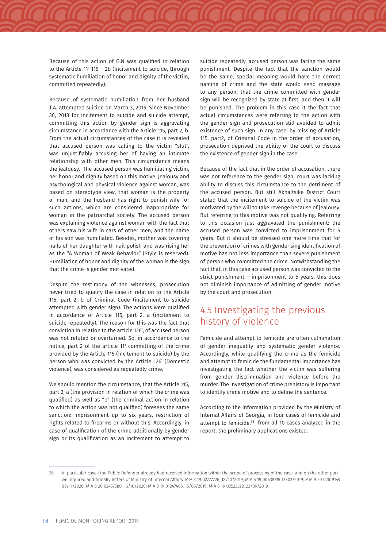Because of this action of G.N was qualified in relation to the Article 111 -115 – 2b (Incitement to suicide, through systematic humiliation of honor and dignity of the victim, committed repeatedly).

Because of systematic humiliation from her husband T.A. attempted suicide on March 3, 2019. Since November 30, 2018 for incitement to suicide and suicide attempt, committing this action by gender sign is aggravating circumstance in accordance with the Article 115, part 2, b. From the actual circumstances of the case it is revealed that accused person was calling to the victim "slut", was unjustifiably accusing her of having an intimate relationship with other men. This circumstance means the jealousy. The accused person was humiliating victim, her honor and dignity based on this motive. Jealousy and psychological and physical violence against woman, was based on stereotype view, that woman is the property of man, and the husband has right to punish wife for such actions, which are considered inappropriate for woman in the patriarchal society. The accused person was explaining violence against woman with the fact that others saw his wife in cars of other men, and the name of his son was humiliated. Besides, mother was covering nails of her daughter with nail polish and was rising her as the "A Woman of Weak Behavior" (Style is reserved). Humiliating of honor and dignity of the woman is the sign that the crime is gender motivated.

Despite the testimony of the witnesses, prosecution never tried to qualify the case in relation to the Article 115, part 2, b of Criminal Code (incitement to suicide attempted with gender sign). The actions were qualified in accordance of Article 115, part 2, a (incitement to suicide repeatedly). The reason for this was the fact that conviction in relation to the article 1261 , of accused person was not refuted or overturned. So, in accordance to the notice, part 2 of the article  $11^{\circ}$  committing of the crime provided by the Article 115 (Incitement to suicide) by the person who was convicted by the Article 1261 (Domestic violence), was considered as repeatedly crime.

We should mention the circumstance, that the Article 115, part 2, a (the provision in relation of which the crime was qualified) as well as "b" (the criminal action in relation to which the action was not qualified) foresees the same sanction: imprisonment up to six years, restriction of rights related to firearms or without this. Accordingly, in case of qualification of the crime additionally by gender sign or its qualification as an incitement to attempt to suicide repeatedly, accused person was facing the same punishment. Despite the fact that the sanction would be the same, special meaning would have the correct naming of crime and the state would send massage to any person, that the crime committed with gender sign will be recognized by state at first, and then it will be punished. The problem in this case it the fact that actual circumstances were referring to the action with the gender sign and prosecution still avoided to admit existence of such sign. In any case, by missing of Article 115, part2, of Criminal Code in the order of accusation, prosecution deprived the ability of the court to discuss the existence of gender sign in the case.

Because of the fact that in the order of accusation, there was not reference to the gender sign, court was lacking ability to discuss this circumstance to the detriment of the accused person. But still Akhaltsike District Court stated that the incitement to suicide of the victim was motivated by the will to take revenge because of jealousy. But referring to this motive was not qualifying. Referring to this occasion just aggravated the punishment: the accused person was convicted to imprisonment for 5 years. But it should be stressed one more time that for the prevention of crimes with gender sing identification of motive has not less importance than severe punishment of person who committed the crime. Notwithstanding the fact that, in this case accused person was convicted to the strict punishment – imprisonment to 5 years, this does not diminish importance of admitting of gender motive by the court and prosecution.

### 4.5 Investigating the previous history of violence

Femicide and attempt to femicide are often culmination of gender inequality and systematic gender violence. Accordingly, while qualifying the crime as the femicide and attempt to femicide the fundamental importance has investigating the fact whether the victim was suffering from gender discrimination and violence before the murder. The investigation of crime prehistory is important to identify crime motive and to define the sentence.

According to the information provided by the Ministry of Internal Affairs of Georgia, in four cases of femicide and attempt to femicide,<sup>36</sup> from all 10 cases analyzed in the report, the preliminary applications existed.

<sup>36</sup> In particular cases the Public Defender already had received information within the scope of processing of the case, and on the other part we inquired additionally letters of Ministry of Internal Affairs: MIA 3 19 02777726, 18/10/2019; MIA 5 19 00638715 13/03/2019; MIA 9 20 02619149 06/11/2020; MIA 8 20 02457580, 16/10/2020; MIA 8 19 01247405, 15/05/2019; MIA 6 19 02523522, 23/09/2019.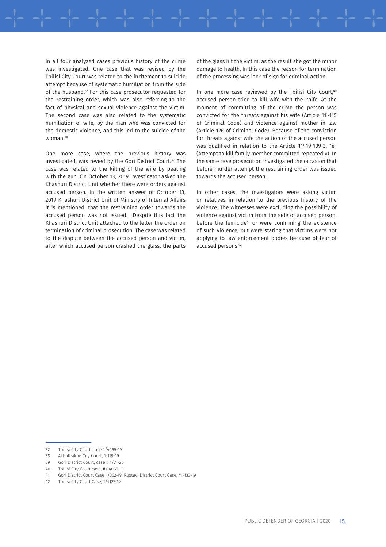In all four analyzed cases previous history of the crime was investigated. One case that was revised by the Tbilisi City Court was related to the incitement to suicide attempt because of systematic humiliation from the side of the husband.<sup>37</sup> For this case prosecutor requested for the restraining order, which was also referring to the fact of physical and sexual violence against the victim. The second case was also related to the systematic humiliation of wife, by the man who was convicted for the domestic violence, and this led to the suicide of the woman.38

One more case, where the previous history was investigated, was revied by the Gori District Court.39 The case was related to the killing of the wife by beating with the gun. On October 13, 2019 investigator asked the Khashuri District Unit whether there were orders against accused person. In the written answer of October 13, 2019 Khashuri District Unit of Ministry of Internal Affairs it is mentioned, that the restraining order towards the accused person was not issued. Despite this fact the Khashuri District Unit attached to the letter the order on termination of criminal prosecution. The case was related to the dispute between the accused person and victim, after which accused person crashed the glass, the parts of the glass hit the victim, as the result she got the minor damage to health. In this case the reason for termination of the processing was lack of sign for criminal action.

In one more case reviewed by the Tbilisi City Court,<sup>40</sup> accused person tried to kill wife with the knife. At the moment of committing of the crime the person was convicted for the threats against his wife (Article 111 -115 of Criminal Code) and violence against mother in law (Article 126 of Criminal Code). Because of the conviction for threats against wife the action of the accused person was qualified in relation to the Article 111 -19-109-3, "e" (Attempt to kill family member committed repeatedly). In the same case prosecution investigated the occasion that before murder attempt the restraining order was issued towards the accused person.

In other cases, the investigators were asking victim or relatives in relation to the previous history of the violence. The witnesses were excluding the possibility of violence against victim from the side of accused person, before the femicide<sup>41</sup> or were confirming the existence of such violence, but were stating that victims were not applying to law enforcement bodies because of fear of accused persons.42

40 Tbilisi City Court case, #1-4065-19

<sup>37</sup> Tbilisi City Court, case 1/4065-19<br>38 Akhaltsikhe City Court, 1-119-19

<sup>38</sup> Akhaltsikhe City Court, 1-119-19

<sup>39</sup> Gori District Court, case # 1/71-20

<sup>41</sup> Gori District Court Case 1/352-19; Rustavi District Court Case, #1-133-19

Tbilisi City Court Case, 1/4127-19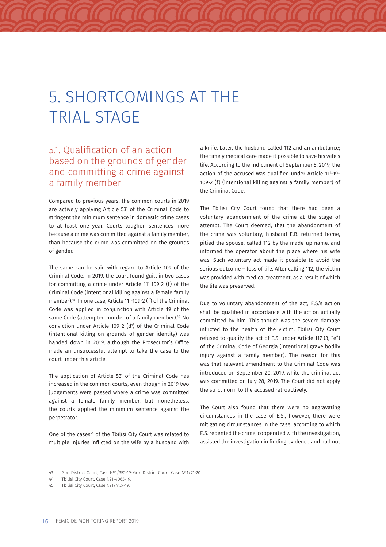## 5. SHORTCOMINGS AT THE TRIAL STAGE

### 5.1. Qualification of an action based on the grounds of gender and committing a crime against a family member

Compared to previous years, the common courts in 2019 are actively applying Article 53<sup>1</sup> of the Criminal Code to stringent the minimum sentence in domestic crime cases to at least one year. Courts toughen sentences more because a crime was committed against a family member, than because the crime was committed on the grounds of gender.

The same can be said with regard to Article 109 of the Criminal Code. In 2019, the court found guilt in two cases for committing a crime under Article 111 -109-2 (f) of the Criminal Code (intentional killing against a female family member).43 In one case, Article 111 -109-2 (f) of the Criminal Code was applied in conjunction with Article 19 of the same Code (attempted murder of a family member).<sup>44</sup> No conviction under Article 109 2 (d1 ) of the Criminal Code (intentional killing on grounds of gender identity) was handed down in 2019, although the Prosecutor's Office made an unsuccessful attempt to take the case to the court under this article.

The application of Article 53<sup>1</sup> of the Criminal Code has increased in the common courts, even though in 2019 two judgements were passed where a crime was committed against a female family member, but nonetheless, the courts applied the minimum sentence against the perpetrator.

One of the cases<sup>45</sup> of the Tbilisi City Court was related to multiple injuries inflicted on the wife by a husband with a knife. Later, the husband called 112 and an ambulance; the timely medical care made it possible to save his wife's life. According to the indictment of September 5, 2019, the action of the accused was qualified under Article 111 -19- 109-2 (f) (intentional killing against a family member) of the Criminal Code.

The Tbilisi City Court found that there had been a voluntary abandonment of the crime at the stage of attempt. The Court deemed, that the abandonment of the crime was voluntary, husband E.B. returned home, pitied the spouse, called 112 by the made-up name, and informed the operator about the place where his wife was. Such voluntary act made it possible to avoid the serious outcome – loss of life. After calling 112, the victim was provided with medical treatment, as a result of which the life was preserved.

Due to voluntary abandonment of the act, E.S.'s action shall be qualified in accordance with the action actually committed by him. This though was the severe damage inflicted to the health of the victim. Tbilisi City Court refused to qualify the act of E.S. under Article 117 (3, "e") of the Criminal Code of Georgia (intentional grave bodily injury against a family member). The reason for this was that relevant amendment to the Criminal Code was introduced on September 20, 2019, while the criminal act was committed on July 28, 2019. The Court did not apply the strict norm to the accused retroactively.

The Court also found that there were no aggravating circumstances in the case of E.S., however, there were mitigating circumstances in the case, according to which E.S. repented the crime, cooperated with the investigation, assisted the investigation in finding evidence and had not

<sup>43</sup> Gori District Court, Case №1/352-19; Gori District Court, Case №1/71-20.

<sup>44</sup> Tbilisi City Court, Case №1-4065-19.<br>45 Thilisi City Court, Case №1/4127-19

<sup>45</sup> Tbilisi City Court, Case №1/4127-19.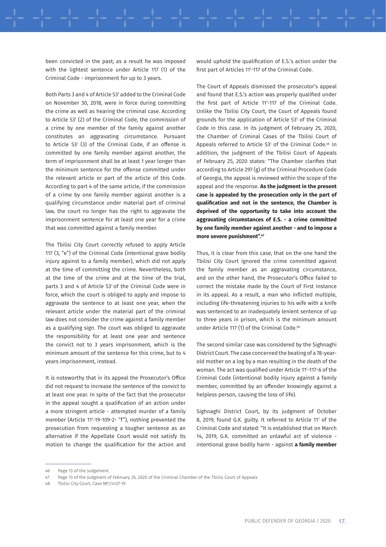been convicted in the past; as a result he was imposed with the lightest sentence under Article 117 (1) of the Criminal Code - imprisonment for up to 3 years.

Both Parts 3 and 4 of Article 53' added to the Criminal Code on November 30, 2018, were in force during committing the crime as well as hearing the criminal case. According to Article 53' (2) of the Criminal Code, the commission of a crime by one member of the family against another constitutes an aggravating circumstance. Pursuant to Article  $53^{\circ}$  (3) of the Criminal Code, if an offense is committed by one family member against another, the term of imprisonment shall be at least 1 year longer than the minimum sentence for the offense committed under the relevant article or part of the article of this Code. According to part 4 of the same article, if the commission of a crime by one family member against another is a qualifying circumstance under material part of criminal law, the court no longer has the right to aggravate the imprisonment sentence for at least one year for a crime that was committed against a family member.

The Tbilisi City Court correctly refused to apply Article 117 (3, "e") of the Criminal Code (intentional grave bodily injury against to a family member), which did not apply at the time of committing the crime. Nevertheless, both at the time of the crime and at the time of the trial, parts 3 and 4 of Article 53<sup>1</sup> of the Criminal Code were in force, which the court is obliged to apply and impose to aggravate the sentence to at least one year, when the relevant article under the material part of the criminal law does not consider the crime against a family member as a qualifying sign. The court was obliged to aggravate the responsibility for at least one year and sentence the convict not to 3 years imprisonment, which is the minimum amount of the sentence for this crime, but to 4 years imprisonment, instead.

It is noteworthy that in its appeal the Prosecutor's Office did not request to increase the sentence of the convict to at least one year. In spite of the fact that the prosecutor in the appeal sought a qualification of an action under a more stringent article - attempted murder of a family member (Article 111 -19-109-2- "f"), nothing prevented the prosecution from requesting a tougher sentence as an alternative if the Appellate Court would not satisfy its motion to change the qualification for the action and

would uphold the qualification of E.S.'s action under the first part of Articles 111 -117 of the Criminal Code.

The Court of Appeals dismissed the prosecutor's appeal and found that E.S.'s action was properly qualified under the first part of Article 111 -117 of the Criminal Code. Unlike the Tbilisi City Court, the Court of Appeals found grounds for the application of Article 53<sup>1</sup> of the Criminal Code in this case. In its judgment of February 25, 2020, the Chamber of Criminal Cases of the Tbilisi Court of Appeals referred to Article  $53^{\circ}$  of the Criminal Code. $^{46}$  In addition, the judgment of the Tbilisi Court of Appeals of February 25, 2020 states: "The Chamber clarifies that according to Article 297 (g) of the Criminal Procedure Code of Georgia, the appeal is reviewed within the scope of the appeal and the response. **As the judgment in the present case is appealed by the prosecution only in the part of qualification and not in the sentence, the Chamber is deprived of the opportunity to take into account the aggravating circumstances of E.S. - a crime committed by one family member against another - and to impose a more severe punishment".47**

Thus, it is clear from this case, that on the one hand the Tbilisi City Court ignored the crime committed against the family member as an aggravating circumstance, and on the other hand, the Prosecutor's Office failed to correct the mistake made by the Court of First Instance in its appeal. As a result, a man who inflicted multiple, including life-threatening injuries to his wife with a knife was sentenced to an inadequately lenient sentence of up to three years in prison, which is the minimum amount under Article 117 (1) of the Criminal Code.<sup>48</sup>

The second similar case was considered by the Sighnaghi District Court. The case concerned the beating of a 78-yearold mother on a log by a man resulting in the death of the woman. The act was qualified under Article 111 -117-6 of the Criminal Code (intentional bodily injury against a family member, committed by an offender knowingly against a helpless person, causing the loss of life).

Sighnaghi District Court, by its judgment of October 8, 2019, found G.K. guilty. It referred to Article 111 of the Criminal Code and stated: "It is established that on March 14, 2019, G.K. committed an unlawful act of violence intentional grave bodily harm - against **a family member** 

<sup>46</sup> Page 13 of the Judgement.

<sup>47</sup> Page 13 of the Judgment of February 25, 2020 of the Criminal Chamber of the Tbilisi Court of Appeals

<sup>48</sup> Tbilisi City Court, Case №1/4127-19.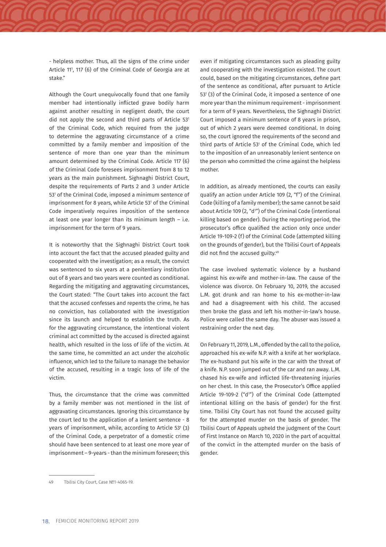- helpless mother. Thus, all the signs of the crime under Article 11', 117 (6) of the Criminal Code of Georgia are at stake."

Although the Court unequivocally found that one family member had intentionally inflicted grave bodily harm against another resulting in negligent death, the court did not apply the second and third parts of Article 53<sup>1</sup> of the Criminal Code, which required from the judge to determine the aggravating circumstance of a crime committed by a family member and imposition of the sentence of more than one year than the minimum amount determined by the Criminal Code. Article 117 (6) of the Criminal Code foresees imprisonment from 8 to 12 years as the main punishment. Sighnaghi District Court, despite the requirements of Parts 2 and 3 under Article 53<sup>1</sup> of the Criminal Code, imposed a minimum sentence of imprisonment for 8 years, while Article 531 of the Criminal Code imperatively requires imposition of the sentence at least one year longer than its minimum length – i.e. imprisonment for the term of 9 years.

It is noteworthy that the Sighnaghi District Court took into account the fact that the accused pleaded guilty and cooperated with the investigation; as a result, the convict was sentenced to six years at a penitentiary institution out of 8 years and two years were counted as conditional. Regarding the mitigating and aggravating circumstances, the Court stated: "The Court takes into account the fact that the accused confesses and repents the crime, he has no conviction, has collaborated with the investigation since its launch and helped to establish the truth. As for the aggravating circumstance, the intentional violent criminal act committed by the accused is directed against health, which resulted in the loss of life of the victim. At the same time, he committed an act under the alcoholic influence, which led to the failure to manage the behavior of the accused, resulting in a tragic loss of life of the victim.

Thus, the circumstance that the crime was committed by a family member was not mentioned in the list of aggravating circumstances. Ignoring this circumstance by the court led to the application of a lenient sentence - 8 years of imprisonment, while, according to Article 53<sup>1</sup> (3) of the Criminal Code, a perpetrator of a domestic crime should have been sentenced to at least one more year of imprisonment – 9-years - than the minimum foreseen; this

even if mitigating circumstances such as pleading guilty and cooperating with the investigation existed. The court could, based on the mitigating circumstances, define part of the sentence as conditional, after pursuant to Article 53<sup>1</sup> (3) of the Criminal Code, it imposed a sentence of one more year than the minimum requirement - imprisonment for a term of 9 years. Nevertheless, the Sighnaghi District Court imposed a minimum sentence of 8 years in prison, out of which 2 years were deemed conditional. In doing so, the court ignored the requirements of the second and third parts of Article 53' of the Criminal Code, which led to the imposition of an unreasonably lenient sentence on the person who committed the crime against the helpless mother.

In addition, as already mentioned, the courts can easily qualify an action under Article 109 (2, "f") of the Criminal Code (killing of a family member); the same cannot be said about Article 109 (2, "d1 ") of the Criminal Code (intentional killing based on gender). During the reporting period, the prosecutor's office qualified the action only once under Article 19-109-2 (f) of the Criminal Code (attempted killing on the grounds of gender), but the Tbilisi Court of Appeals did not find the accused guilty.<sup>49</sup>

The case involved systematic violence by a husband against his ex-wife and mother-in-law. The cause of the violence was divorce. On February 10, 2019, the accused L.M. got drunk and ran home to his ex-mother-in-law and had a disagreement with his child. The accused then broke the glass and left his mother-in-law's house. Police were called the same day. The abuser was issued a restraining order the next day.

On February 11, 2019, L.M., offended by the call to the police, approached his ex-wife N.P. with a knife at her workplace. The ex-husband put his wife in the car with the threat of a knife. N.P. soon jumped out of the car and ran away. L.M. chased his ex-wife and inflicted life-threatening injuries on her chest. In this case, the Prosecutor's Office applied Article 19-109-2 ("d<sup>1</sup>") of the Criminal Code (attempted intentional killing on the basis of gender) for the first time. Tbilisi City Court has not found the accused guilty for the attempted murder on the basis of gender. The Tbilisi Court of Appeals upheld the judgment of the Court of First Instance on March 10, 2020 in the part of acquittal of the convict in the attempted murder on the basis of gender.

<sup>49</sup> Tbilisi City Court, Case №1-4065-19.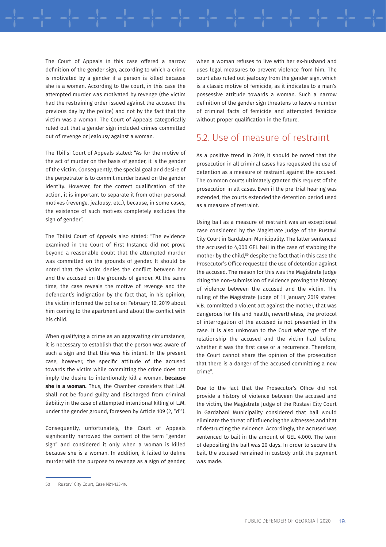The Court of Appeals in this case offered a narrow definition of the gender sign, according to which a crime is motivated by a gender if a person is killed because she is a woman. According to the court, in this case the attempted murder was motivated by revenge (the victim had the restraining order issued against the accused the previous day by the police) and not by the fact that the victim was a woman. The Court of Appeals categorically ruled out that a gender sign included crimes committed out of revenge or jealousy against a woman.

The Tbilisi Court of Appeals stated: "As for the motive of the act of murder on the basis of gender, it is the gender of the victim. Consequently, the special goal and desire of the perpetrator is to commit murder based on the gender identity. However, for the correct qualification of the action, it is important to separate it from other personal motives (revenge, jealousy, etc.), because, in some cases, the existence of such motives completely excludes the sign of gender".

The Tbilisi Court of Appeals also stated: "The evidence examined in the Court of First Instance did not prove beyond a reasonable doubt that the attempted murder was committed on the grounds of gender. It should be noted that the victim denies the conflict between her and the accused on the grounds of gender. At the same time, the case reveals the motive of revenge and the defendant's indignation by the fact that, in his opinion, the victim informed the police on February 10, 2019 about him coming to the apartment and about the conflict with his child.

When qualifying a crime as an aggravating circumstance, it is necessary to establish that the person was aware of such a sign and that this was his intent. In the present case, however, the specific attitude of the accused towards the victim while committing the crime does not imply the desire to intentionally kill a woman, **because she is a woman.** Thus, the Chamber considers that L.M. shall not be found guilty and discharged from criminal liability in the case of attempted intentional killing of L.M. under the gender ground, foreseen by Article 109 (2, "d<sup>1</sup>").

Consequently, unfortunately, the Court of Appeals significantly narrowed the content of the term "gender sign" and considered it only when a woman is killed because she is a woman. In addition, it failed to define murder with the purpose to revenge as a sign of gender, when a woman refuses to live with her ex-husband and uses legal measures to prevent violence from him. The court also ruled out jealousy from the gender sign, which is a classic motive of femicide, as it indicates to a man's possessive attitude towards a woman. Such a narrow definition of the gender sign threatens to leave a number of criminal facts of femicide and attempted femicide without proper qualification in the future.

### 5.2. Use of measure of restraint

As a positive trend in 2019, it should be noted that the prosecution in all criminal cases has requested the use of detention as a measure of restraint against the accused. The common courts ultimately granted this request of the prosecution in all cases. Even if the pre-trial hearing was extended, the courts extended the detention period used as a measure of restraint.

Using bail as a measure of restraint was an exceptional case considered by the Magistrate Judge of the Rustavi City Court in Gardabani Municipality. The latter sentenced the accused to 4,000 GEL bail in the case of stabbing the mother by the child,<sup>50</sup> despite the fact that in this case the Prosecutor's Office requested the use of detention against the accused. The reason for this was the Magistrate Judge citing the non-submission of evidence proving the history of violence between the accused and the victim. The ruling of the Magistrate Judge of 11 January 2019 states: V.B. committed a violent act against the mother, that was dangerous for life and health, nevertheless, the protocol of interrogation of the accused is not presented in the case. It is also unknown to the Court what type of the relationship the accused and the victim had before, whether it was the first case or a recurrence. Therefore, the Court cannot share the opinion of the prosecution that there is a danger of the accused committing a new crime".

Due to the fact that the Prosecutor's Office did not provide a history of violence between the accused and the victim, the Magistrate Judge of the Rustavi City Court in Gardabani Municipality considered that bail would eliminate the threat of influencing the witnesses and that of destructing the evidence. Accordingly, the accused was sentenced to bail in the amount of GEL 4,000. The term of depositing the bail was 20 days. In order to secure the bail, the accused remained in custody until the payment was made.

<sup>50</sup> Rustavi City Court, Case №1-133-19.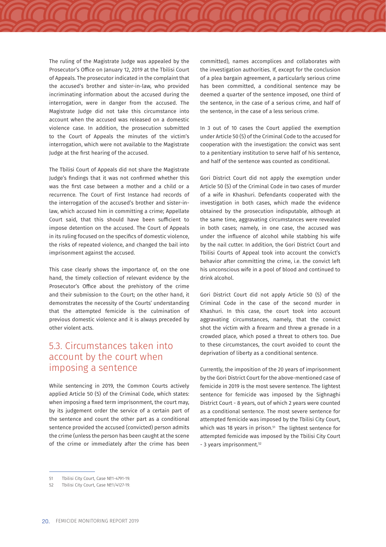The ruling of the Magistrate Judge was appealed by the Prosecutor's Office on January 12, 2019 at the Tbilisi Court of Appeals. The prosecutor indicated in the complaint that the accused's brother and sister-in-law, who provided incriminating information about the accused during the interrogation, were in danger from the accused. The Magistrate Judge did not take this circumstance into account when the accused was released on a domestic violence case. In addition, the prosecution submitted to the Court of Appeals the minutes of the victim's interrogation, which were not available to the Magistrate Judge at the first hearing of the accused.

The Tbilisi Court of Appeals did not share the Magistrate Judge's findings that it was not confirmed whether this was the first case between a mother and a child or a recurrence. The Court of First Instance had records of the interrogation of the accused's brother and sister-inlaw, which accused him in committing a crime; Appellate Court said, that this should have been sufficient to impose detention on the accused. The Court of Appeals in its ruling focused on the specifics of domestic violence, the risks of repeated violence, and changed the bail into imprisonment against the accused.

This case clearly shows the importance of, on the one hand, the timely collection of relevant evidence by the Prosecutor's Office about the prehistory of the crime and their submission to the Court; on the other hand, it demonstrates the necessity of the Courts' understanding that the attempted femicide is the culmination of previous domestic violence and it is always preceded by other violent acts.

### 5.3. Circumstances taken into account by the court when imposing a sentence

While sentencing in 2019, the Common Courts actively applied Article 50 (5) of the Criminal Code, which states: when imposing a fixed term imprisonment, the court may, by its judgement order the service of a certain part of the sentence and count the other part as a conditional sentence provided the accused (convicted) person admits the crime (unless the person has been caught at the scene of the crime or immediately after the crime has been committed), names accomplices and collaborates with the investigation authorities. If, except for the conclusion of a plea bargain agreement, a particularly serious crime has been committed, a conditional sentence may be deemed a quarter of the sentence imposed, one third of the sentence, in the case of a serious crime, and half of the sentence, in the case of a less serious crime.

In 3 out of 10 cases the Court applied the exemption under Article 50 (5) of the Criminal Code to the accused for cooperation with the investigation: the convict was sent to a penitentiary institution to serve half of his sentence, and half of the sentence was counted as conditional.

Gori District Court did not apply the exemption under Article 50 (5) of the Criminal Code in two cases of murder of a wife in Khashuri. Defendants cooperated with the investigation in both cases, which made the evidence obtained by the prosecution indisputable, although at the same time, aggravating circumstances were revealed in both cases; namely, in one case, the accused was under the influence of alcohol while stabbing his wife by the nail cutter. In addition, the Gori District Court and Tbilisi Courts of Appeal took into account the convict's behavior after committing the crime, i.e. the convict left his unconscious wife in a pool of blood and continued to drink alcohol.

Gori District Court did not apply Article 50 (5) of the Criminal Code in the case of the second murder in Khashuri. In this case, the court took into account aggravating circumstances, namely, that the convict shot the victim with a firearm and threw a grenade in a crowded place, which posed a threat to others too. Due to these circumstances, the court avoided to count the deprivation of liberty as a conditional sentence.

Currently, the imposition of the 20 years of imprisonment by the Gori District Court for the above-mentioned case of femicide in 2019 is the most severe sentence. The lightest sentence for femicide was imposed by the Sighnaghi District Court - 8 years, out of which 2 years were counted as a conditional sentence. The most severe sentence for attempted femicide was imposed by the Tbilisi City Court, which was 18 years in prison.<sup>51</sup> The lightest sentence for attempted femicide was imposed by the Tbilisi City Court - 3 years imprisonment.<sup>52</sup>

<sup>51</sup> Tbilisi City Court, Case №1-4791-19.

<sup>52</sup> Tbilisi City Court, Case №1/4127-19.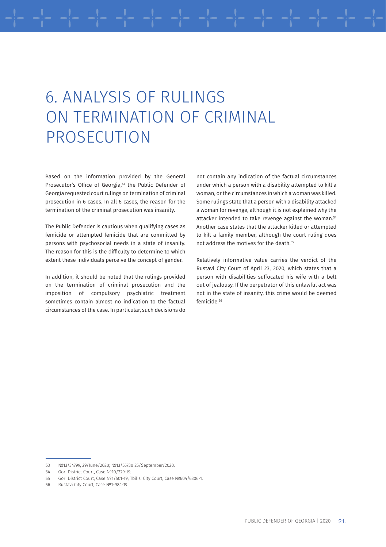## 6. ANALYSIS OF RULINGS ON TERMINATION OF CRIMINAL PROSECUTION

Based on the information provided by the General Prosecutor's Office of Georgia,<sup>53</sup> the Public Defender of Georgia requested court rulings on termination of criminal prosecution in 6 cases. In all 6 cases, the reason for the termination of the criminal prosecution was insanity.

The Public Defender is cautious when qualifying cases as femicide or attempted femicide that are committed by persons with psychosocial needs in a state of insanity. The reason for this is the difficulty to determine to which extent these individuals perceive the concept of gender.

In addition, it should be noted that the rulings provided on the termination of criminal prosecution and the imposition of compulsory psychiatric treatment sometimes contain almost no indication to the factual circumstances of the case. In particular, such decisions do not contain any indication of the factual circumstances under which a person with a disability attempted to kill a woman, or the circumstances in which a woman was killed. Some rulings state that a person with a disability attacked a woman for revenge, although it is not explained why the attacker intended to take revenge against the woman.<sup>54</sup> Another case states that the attacker killed or attempted to kill a family member, although the court ruling does not address the motives for the death.<sup>55</sup>

Relatively informative value carries the verdict of the Rustavi City Court of April 23, 2020, which states that a person with disabilities suffocated his wife with a belt out of jealousy. If the perpetrator of this unlawful act was not in the state of insanity, this crime would be deemed femicide.56

<sup>53 №13/34799, 29/</sup>June/2020; №13/55730 25/September/2020.

<sup>54</sup> Gori District Court, Case №10/329-19.

<sup>55</sup> Gori District Court, Case №1/501-19; Tbilisi City Court, Case №604/6306-1.

<sup>56</sup> Rustavi City Court, Case №1-984-19.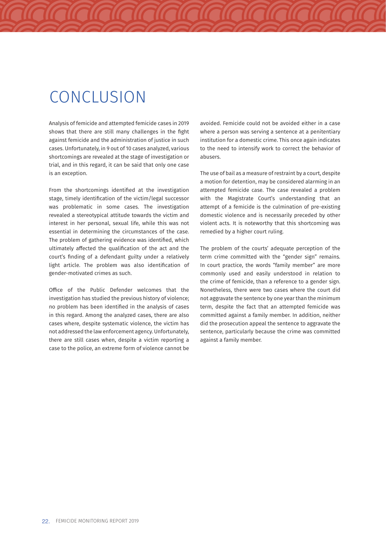### **CONCLUSION**

Analysis of femicide and attempted femicide cases in 2019 shows that there are still many challenges in the fight against femicide and the administration of justice in such cases. Unfortunately, in 9 out of 10 cases analyzed, various shortcomings are revealed at the stage of investigation or trial, and in this regard, it can be said that only one case is an exception.

From the shortcomings identified at the investigation stage, timely identification of the victim/legal successor was problematic in some cases. The investigation revealed a stereotypical attitude towards the victim and interest in her personal, sexual life, while this was not essential in determining the circumstances of the case. The problem of gathering evidence was identified, which ultimately affected the qualification of the act and the court's finding of a defendant guilty under a relatively light article. The problem was also identification of gender-motivated crimes as such.

Office of the Public Defender welcomes that the investigation has studied the previous history of violence; no problem has been identified in the analysis of cases in this regard. Among the analyzed cases, there are also cases where, despite systematic violence, the victim has not addressed the law enforcement agency. Unfortunately, there are still cases when, despite a victim reporting a case to the police, an extreme form of violence cannot be

avoided. Femicide could not be avoided either in a case where a person was serving a sentence at a penitentiary institution for a domestic crime. This once again indicates to the need to intensify work to correct the behavior of abusers.

The use of bail as a measure of restraint by a court, despite a motion for detention, may be considered alarming in an attempted femicide case. The case revealed a problem with the Magistrate Court's understanding that an attempt of a femicide is the culmination of pre-existing domestic violence and is necessarily preceded by other violent acts. It is noteworthy that this shortcoming was remedied by a higher court ruling.

The problem of the courts' adequate perception of the term crime committed with the "gender sign" remains. In court practice, the words "family member" are more commonly used and easily understood in relation to the crime of femicide, than a reference to a gender sign. Nonetheless, there were two cases where the court did not aggravate the sentence by one year than the minimum term, despite the fact that an attempted femicide was committed against a family member. In addition, neither did the prosecution appeal the sentence to aggravate the sentence, particularly because the crime was committed against a family member.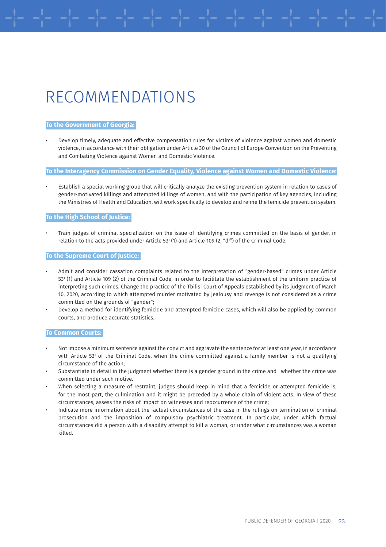## RECOMMENDATIONS

#### **To the Government of Georgia:**

• Develop timely, adequate and effective compensation rules for victims of violence against women and domestic violence, in accordance with their obligation under Article 30 of the Council of Europe Convention on the Preventing and Combating Violence against Women and Domestic Violence.

#### **To the Interagency Commission on Gender Equality, Violence against Women and Domestic Violence:**

• Establish a special working group that will critically analyze the existing prevention system in relation to cases of gender-motivated killings and attempted killings of women, and with the participation of key agencies, including the Ministries of Health and Education, will work specifically to develop and refine the femicide prevention system.

#### **To the High School of Justice:**

• Train judges of criminal specialization on the issue of identifying crimes committed on the basis of gender, in relation to the acts provided under Article 53' (1) and Article 109 (2, "d<sup>1</sup>") of the Criminal Code.

#### **To the Supreme Court of Justice:**

- Admit and consider cassation complaints related to the interpretation of "gender-based" crimes under Article 531 (1) and Article 109 (2) of the Criminal Code, in order to facilitate the establishment of the uniform practice of interpreting such crimes. Change the practice of the Tbilisi Court of Appeals established by its judgment of March 10, 2020, according to which attempted murder motivated by jealousy and revenge is not considered as a crime committed on the grounds of "gender";
- Develop a method for identifying femicide and attempted femicide cases, which will also be applied by common courts, and produce accurate statistics.

#### **To Common Courts:**

- Not impose a minimum sentence against the convict and aggravate the sentence for at least one year, in accordance with Article 53' of the Criminal Code, when the crime committed against a family member is not a qualifying circumstance of the action;
- Substantiate in detail in the judgment whether there is a gender ground in the crime and whether the crime was committed under such motive.
- When selecting a measure of restraint, judges should keep in mind that a femicide or attempted femicide is, for the most part, the culmination and it might be preceded by a whole chain of violent acts. In view of these circumstances, assess the risks of impact on witnesses and reoccurrence of the crime;
- Indicate more information about the factual circumstances of the case in the rulings on termination of criminal prosecution and the imposition of compulsory psychiatric treatment. In particular, under which factual circumstances did a person with a disability attempt to kill a woman, or under what circumstances was a woman killed.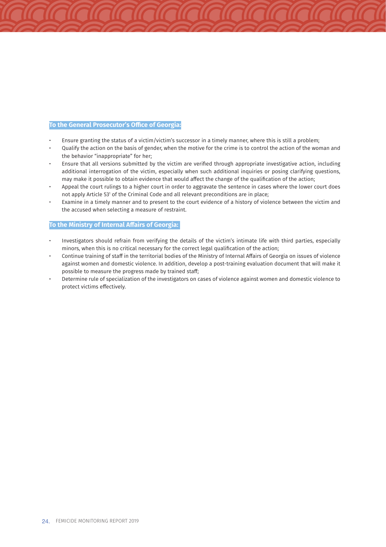#### **To the General Prosecutor's Office of Georgia:**

- Ensure granting the status of a victim/victim's successor in a timely manner, where this is still a problem;
- Qualify the action on the basis of gender, when the motive for the crime is to control the action of the woman and the behavior "inappropriate" for her;
- Ensure that all versions submitted by the victim are verified through appropriate investigative action, including additional interrogation of the victim, especially when such additional inquiries or posing clarifying questions, may make it possible to obtain evidence that would affect the change of the qualification of the action;
- Appeal the court rulings to a higher court in order to aggravate the sentence in cases where the lower court does not apply Article 53<sup>1</sup> of the Criminal Code and all relevant preconditions are in place;
- Examine in a timely manner and to present to the court evidence of a history of violence between the victim and the accused when selecting a measure of restraint.

#### **To the Ministry of Internal Affairs of Georgia:**

- Investigators should refrain from verifying the details of the victim's intimate life with third parties, especially minors, when this is no critical necessary for the correct legal qualification of the action;
- Continue training of staff in the territorial bodies of the Ministry of Internal Affairs of Georgia on issues of violence against women and domestic violence. In addition, develop a post-training evaluation document that will make it possible to measure the progress made by trained staff;
- Determine rule of specialization of the investigators on cases of violence against women and domestic violence to protect victims effectively.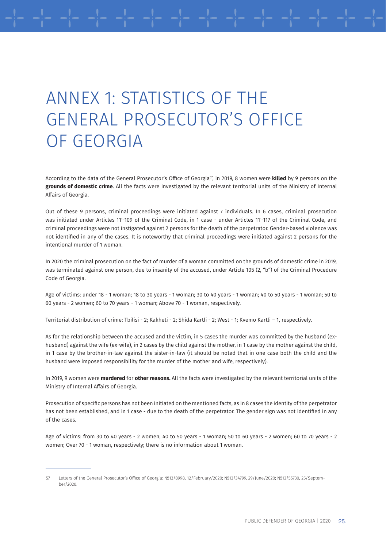## ANNEX 1: STATISTICS OF THE GENERAL PROSECUTOR'S OFFICE OF GEORGIA

According to the data of the General Prosecutor's Office of Georgia<sup>57</sup>, in 2019, 8 women were **killed** by 9 persons on the **grounds of domestic crime**. All the facts were investigated by the relevant territorial units of the Ministry of Internal Affairs of Georgia.

Out of these 9 persons, criminal proceedings were initiated against 7 individuals. In 6 cases, criminal prosecution was initiated under Articles 11'-109 of the Criminal Code, in 1 case - under Articles 11'-117 of the Criminal Code, and criminal proceedings were not instigated against 2 persons for the death of the perpetrator. Gender-based violence was not identified in any of the cases. It is noteworthy that criminal proceedings were initiated against 2 persons for the intentional murder of 1 woman.

In 2020 the criminal prosecution on the fact of murder of a woman committed on the grounds of domestic crime in 2019, was terminated against one person, due to insanity of the accused, under Article 105 (2, "b") of the Criminal Procedure Code of Georgia.

Age of victims: under 18 - 1 woman; 18 to 30 years - 1 woman; 30 to 40 years - 1 woman; 40 to 50 years - 1 woman; 50 to 60 years - 2 women; 60 to 70 years - 1 woman; Above 70 - 1 woman, respectively.

Territorial distribution of crime: Tbilisi - 2; Kakheti - 2; Shida Kartli - 2; West - 1; Kvemo Kartli – 1, respectively.

As for the relationship between the accused and the victim, in 5 cases the murder was committed by the husband (exhusband) against the wife (ex-wife), in 2 cases by the child against the mother, in 1 case by the mother against the child, in 1 case by the brother-in-law against the sister-in-law (it should be noted that in one case both the child and the husband were imposed responsibility for the murder of the mother and wife, respectively).

In 2019, 9 women were **murdered** for **other reasons.** All the facts were investigated by the relevant territorial units of the Ministry of Internal Affairs of Georgia.

Prosecution of specific persons has not been initiated on the mentioned facts, as in 8 cases the identity of the perpetrator has not been established, and in 1 case - due to the death of the perpetrator. The gender sign was not identified in any of the cases.

Age of victims: from 30 to 40 years - 2 women; 40 to 50 years - 1 woman; 50 to 60 years - 2 women; 60 to 70 years - 2 women; Over 70 - 1 woman, respectively; there is no information about 1 woman.

<sup>57</sup> Letters of the General Prosecutor's Office of Georgia: №13/8998, 12/February/2020; №13/34799, 29/June/2020; №13/55730, 25/September/2020.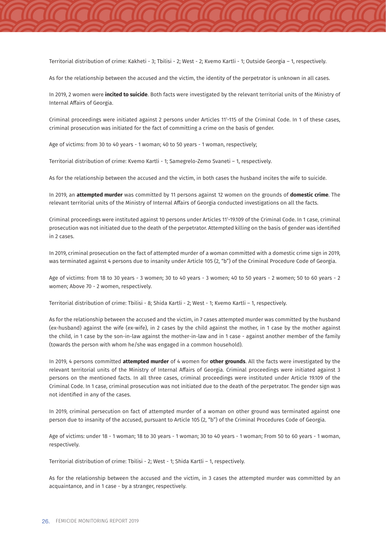Territorial distribution of crime: Kakheti - 3; Tbilisi - 2; West - 2; Kvemo Kartli - 1; Outside Georgia – 1, respectively.

As for the relationship between the accused and the victim, the identity of the perpetrator is unknown in all cases.

In 2019, 2 women were **incited to suicide**. Both facts were investigated by the relevant territorial units of the Ministry of Internal Affairs of Georgia.

Criminal proceedings were initiated against 2 persons under Articles 111 -115 of the Criminal Code. In 1 of these cases, criminal prosecution was initiated for the fact of committing a crime on the basis of gender.

Age of victims: from 30 to 40 years - 1 woman; 40 to 50 years - 1 woman, respectively;

Territorial distribution of crime: Kvemo Kartli - 1; Samegrelo-Zemo Svaneti – 1, respectively.

As for the relationship between the accused and the victim, in both cases the husband incites the wife to suicide.

In 2019, an **attempted murder** was committed by 11 persons against 12 women on the grounds of **domestic crime**. The relevant territorial units of the Ministry of Internal Affairs of Georgia conducted investigations on all the facts.

Criminal proceedings were instituted against 10 persons under Articles 111 -19.109 of the Criminal Code. In 1 case, criminal prosecution was not initiated due to the death of the perpetrator. Attempted killing on the basis of gender was identified in 2 cases.

In 2019, criminal prosecution on the fact of attempted murder of a woman committed with a domestic crime sign in 2019, was terminated against 4 persons due to insanity under Article 105 (2, "b") of the Criminal Procedure Code of Georgia.

Age of victims: from 18 to 30 years - 3 women; 30 to 40 years - 3 women; 40 to 50 years - 2 women; 50 to 60 years - 2 women; Above 70 - 2 women, respectively.

Territorial distribution of crime: Tbilisi - 8; Shida Kartli - 2; West - 1; Kvemo Kartli – 1, respectively.

As for the relationship between the accused and the victim, in 7 cases attempted murder was committed by the husband (ex-husband) against the wife (ex-wife), in 2 cases by the child against the mother, in 1 case by the mother against the child, in 1 case by the son-in-law against the mother-in-law and in 1 case - against another member of the family (towards the person with whom he/she was engaged in a common household).

In 2019, 4 persons committed **attempted murder** of 4 women for **other grounds**. All the facts were investigated by the relevant territorial units of the Ministry of Internal Affairs of Georgia. Criminal proceedings were initiated against 3 persons on the mentioned facts. In all three cases, criminal proceedings were instituted under Article 19.109 of the Criminal Code. In 1 case, criminal prosecution was not initiated due to the death of the perpetrator. The gender sign was not identified in any of the cases.

In 2019, criminal persecution on fact of attempted murder of a woman on other ground was terminated against one person due to insanity of the accused, pursuant to Article 105 (2, "b") of the Criminal Procedures Code of Georgia.

Age of victims: under 18 - 1 woman; 18 to 30 years - 1 woman; 30 to 40 years - 1 woman; From 50 to 60 years - 1 woman, respectively.

Territorial distribution of crime: Tbilisi - 2; West - 1; Shida Kartli – 1, respectively.

As for the relationship between the accused and the victim, in 3 cases the attempted murder was committed by an acquaintance, and in 1 case - by a stranger, respectively.